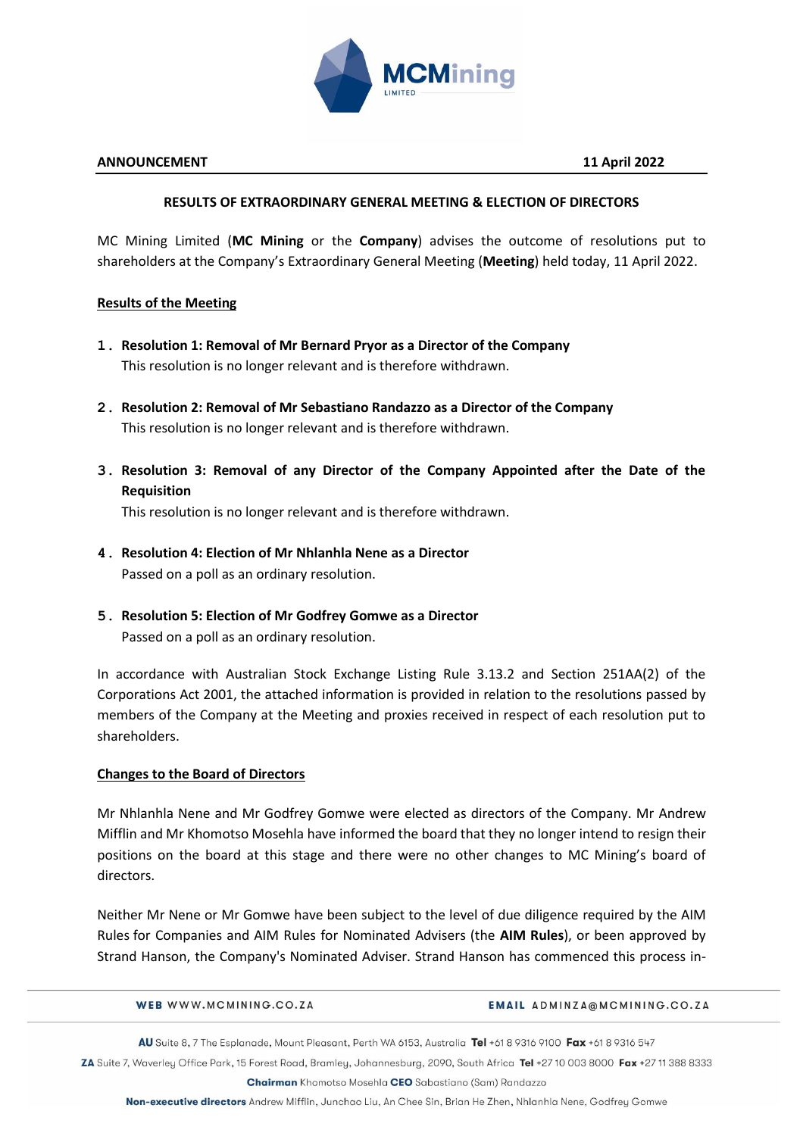

### **ANNOUNCEMENT 11 April 2022**

## **RESULTS OF EXTRAORDINARY GENERAL MEETING & ELECTION OF DIRECTORS**

MC Mining Limited (**MC Mining** or the **Company**) advises the outcome of resolutions put to shareholders at the Company's Extraordinary General Meeting (**Meeting**) held today, 11 April 2022.

### **Results of the Meeting**

- **1. Resolution 1: Removal of Mr Bernard Pryor as a Director of the Company** This resolution is no longer relevant and is therefore withdrawn.
- **2. Resolution 2: Removal of Mr Sebastiano Randazzo as a Director of the Company** This resolution is no longer relevant and is therefore withdrawn.
- **3. Resolution 3: Removal of any Director of the Company Appointed after the Date of the Requisition**

This resolution is no longer relevant and is therefore withdrawn.

- **4. Resolution 4: Election of Mr Nhlanhla Nene as a Director**  Passed on a poll as an ordinary resolution.
- **5. Resolution 5: Election of Mr Godfrey Gomwe as a Director** Passed on a poll as an ordinary resolution.

In accordance with Australian Stock Exchange Listing Rule 3.13.2 and Section 251AA(2) of the Corporations Act 2001, the attached information is provided in relation to the resolutions passed by members of the Company at the Meeting and proxies received in respect of each resolution put to shareholders.

## **Changes to the Board of Directors**

Mr Nhlanhla Nene and Mr Godfrey Gomwe were elected as directors of the Company. Mr Andrew Mifflin and Mr Khomotso Mosehla have informed the board that they no longer intend to resign their positions on the board at this stage and there were no other changes to MC Mining's board of directors.

Neither Mr Nene or Mr Gomwe have been subject to the level of due diligence required by the AIM Rules for Companies and AIM Rules for Nominated Advisers (the **AIM Rules**), or been approved by Strand Hanson, the Company's Nominated Adviser. Strand Hanson has commenced this process in-

WEB WWW.MCMINING.CO.ZA

#### EMAIL ADMINZA@MCMINING.CO.ZA

AU Suite 8, 7 The Esplanade, Mount Pleasant, Perth WA 6153, Australia Tel +61 8 9316 9100 Fax +61 8 9316 547

ZA Suite 7, Waverley Office Park, 15 Forest Road, Bramley, Johannesburg, 2090, South Africa Tel +27 10 003 8000 Fax +27 11 388 8333

Chairman Khomotso Mosehla CEO Sabastiano (Sam) Randazzo

Non-executive directors Andrew Mifflin, Junchao Liu, An Chee Sin, Brian He Zhen, Nhlanhla Nene, Godfrey Gomwe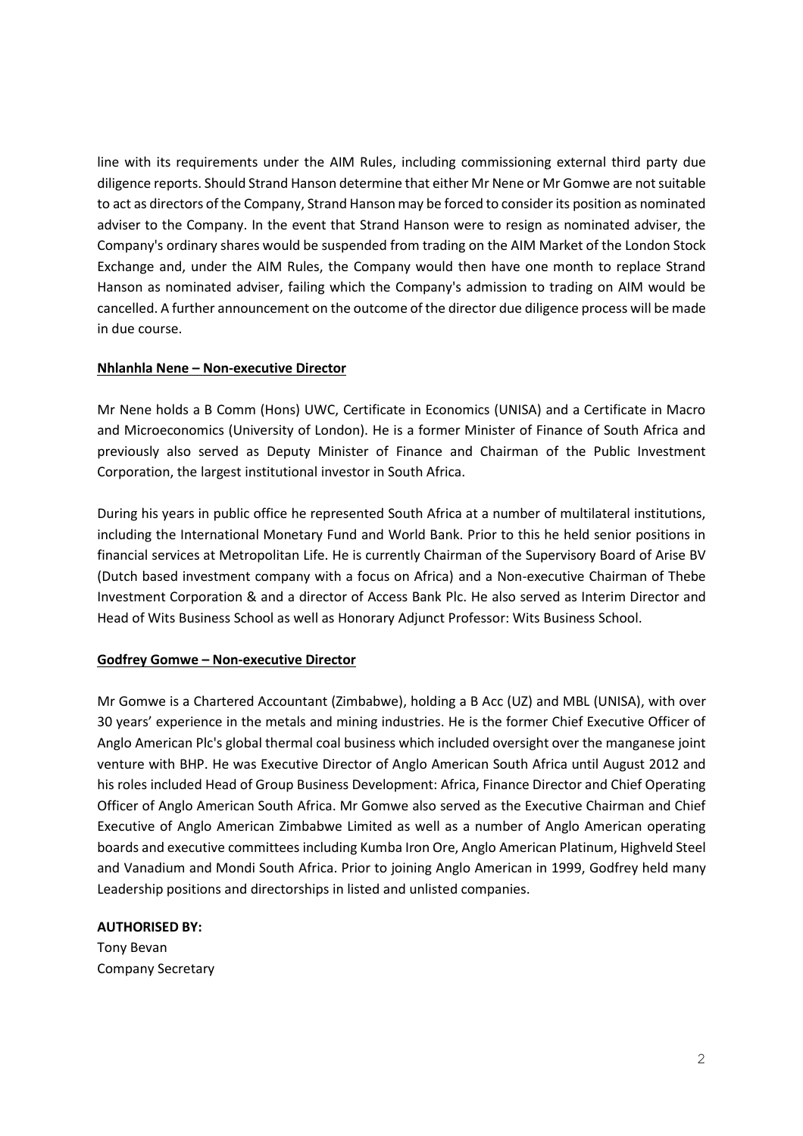line with its requirements under the AIM Rules, including commissioning external third party due diligence reports. Should Strand Hanson determine that either Mr Nene or Mr Gomwe are not suitable to act as directors of the Company, Strand Hanson may be forced to consider its position as nominated adviser to the Company. In the event that Strand Hanson were to resign as nominated adviser, the Company's ordinary shares would be suspended from trading on the AIM Market of the London Stock Exchange and, under the AIM Rules, the Company would then have one month to replace Strand Hanson as nominated adviser, failing which the Company's admission to trading on AIM would be cancelled. A further announcement on the outcome of the director due diligence process will be made in due course.

## **Nhlanhla Nene – Non-executive Director**

Mr Nene holds a B Comm (Hons) UWC, Certificate in Economics (UNISA) and a Certificate in Macro and Microeconomics (University of London). He is a former Minister of Finance of South Africa and previously also served as Deputy Minister of Finance and Chairman of the Public Investment Corporation, the largest institutional investor in South Africa.

During his years in public office he represented South Africa at a number of multilateral institutions, including the International Monetary Fund and World Bank. Prior to this he held senior positions in financial services at Metropolitan Life. He is currently Chairman of the Supervisory Board of Arise BV (Dutch based investment company with a focus on Africa) and a Non-executive Chairman of Thebe Investment Corporation & and a director of Access Bank Plc. He also served as Interim Director and Head of Wits Business School as well as Honorary Adjunct Professor: Wits Business School.

#### **Godfrey Gomwe – Non-executive Director**

Mr Gomwe is a Chartered Accountant (Zimbabwe), holding a B Acc (UZ) and MBL (UNISA), with over 30 years' experience in the metals and mining industries. He is the former Chief Executive Officer of Anglo American Plc's global thermal coal business which included oversight over the manganese joint venture with BHP. He was Executive Director of Anglo American South Africa until August 2012 and his roles included Head of Group Business Development: Africa, Finance Director and Chief Operating Officer of Anglo American South Africa. Mr Gomwe also served as the Executive Chairman and Chief Executive of Anglo American Zimbabwe Limited as well as a number of Anglo American operating boards and executive committees including Kumba Iron Ore, Anglo American Platinum, Highveld Steel and Vanadium and Mondi South Africa. Prior to joining Anglo American in 1999, Godfrey held many Leadership positions and directorships in listed and unlisted companies.

#### **AUTHORISED BY:**

Tony Bevan Company Secretary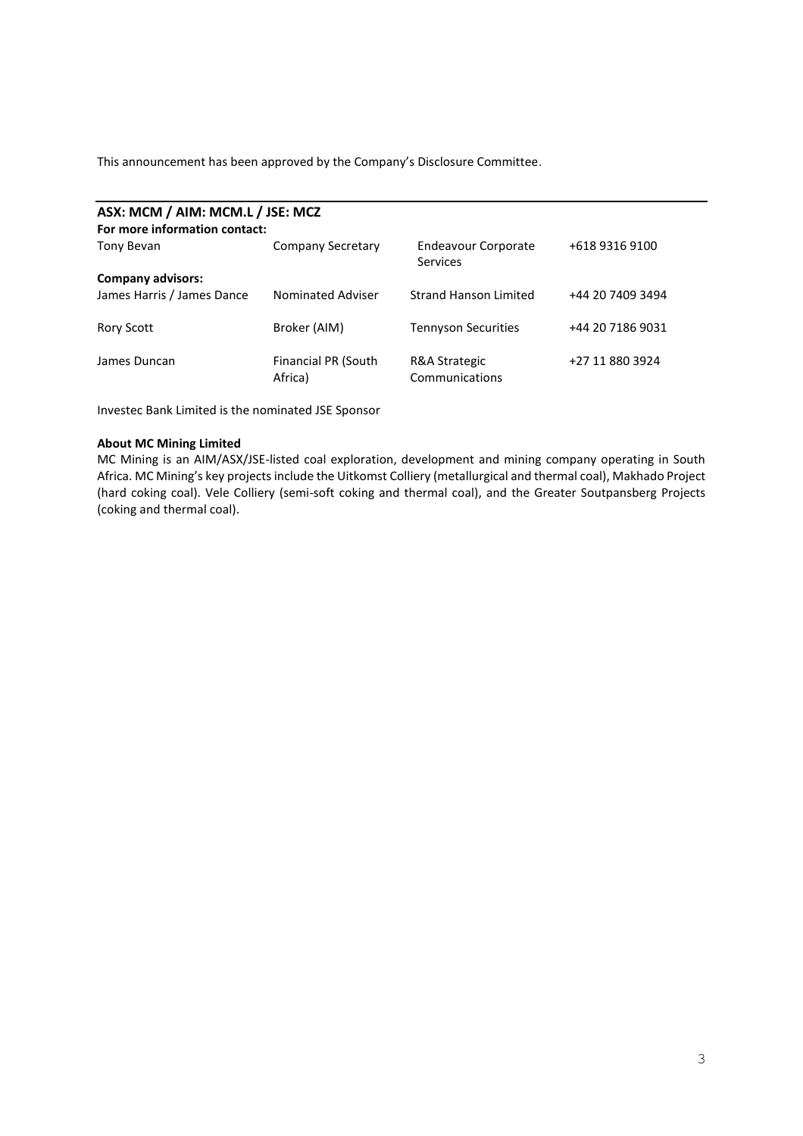This announcement has been approved by the Company's Disclosure Committee.

| ASX: MCM / AIM: MCM.L / JSE: MCZ |                                |                                 |                  |  |  |  |  |  |  |  |
|----------------------------------|--------------------------------|---------------------------------|------------------|--|--|--|--|--|--|--|
| For more information contact:    |                                |                                 |                  |  |  |  |  |  |  |  |
| Tony Bevan                       | <b>Company Secretary</b>       | Endeavour Corporate<br>Services | +618 9316 9100   |  |  |  |  |  |  |  |
| <b>Company advisors:</b>         |                                |                                 |                  |  |  |  |  |  |  |  |
| James Harris / James Dance       | <b>Nominated Adviser</b>       | <b>Strand Hanson Limited</b>    | +44 20 7409 3494 |  |  |  |  |  |  |  |
| <b>Rory Scott</b>                | Broker (AIM)                   | <b>Tennyson Securities</b>      | +44 20 7186 9031 |  |  |  |  |  |  |  |
| James Duncan                     | Financial PR (South<br>Africa) | R&A Strategic<br>Communications | +27 11 880 3924  |  |  |  |  |  |  |  |

Investec Bank Limited is the nominated JSE Sponsor

#### **About MC Mining Limited**

MC Mining is an AIM/ASX/JSE-listed coal exploration, development and mining company operating in South Africa. MC Mining's key projects include the Uitkomst Colliery (metallurgical and thermal coal), Makhado Project (hard coking coal). Vele Colliery (semi-soft coking and thermal coal), and the Greater Soutpansberg Projects (coking and thermal coal).